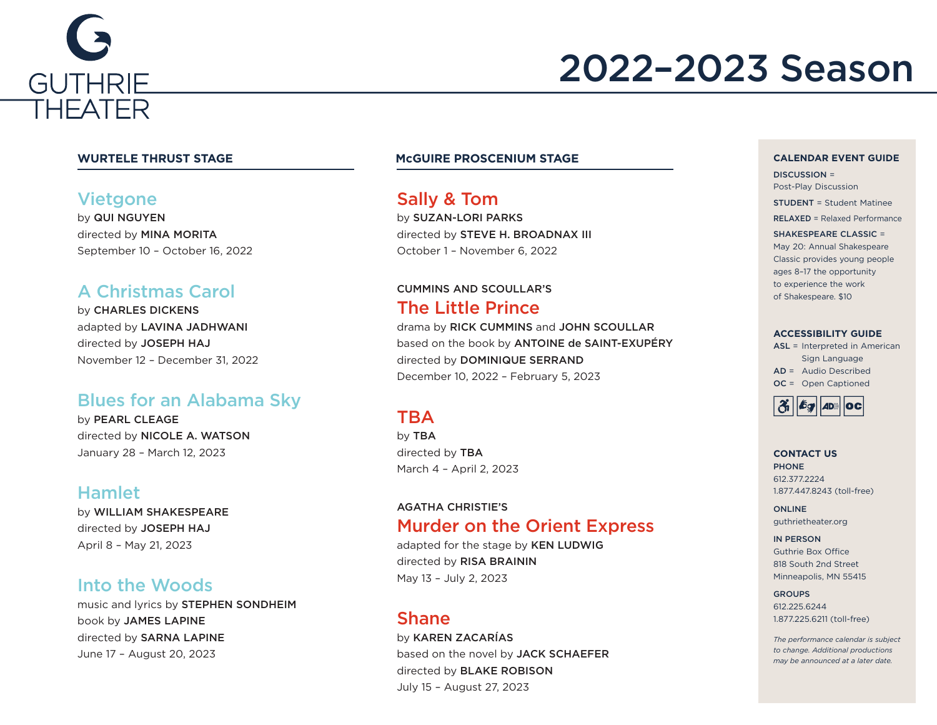

# 2022–2023 Season

### **Vietgone**

by QUI NGUYEN directed by MINA MORITA September 10 – October 16, 2022

### A Christmas Carol

by CHARLES DICKENS adapted by LAVINA JADHWANI directed by JOSEPH HAJ November 12 – December 31, 2022

### Blues for an Alabama Sky

by PEARL CLEAGE directed by NICOLE A. WATSON January 28 – March 12, 2023

### Hamlet

by WILLIAM SHAKESPEARE directed by JOSEPH HAJ April 8 – May 21, 2023

### Into the Woods

music and lyrics by STEPHEN SONDHEIM book by JAMES LAPINE directed by SARNA LAPINE June 17 – August 20, 2023

### **WURTELE THRUST STAGE McGUIRE PROSCENIUM STAGE**

Sally & Tom by SUZAN-LORI PARKS directed by STEVE H. BROADNAX III October 1 – November 6, 2022

### CUMMINS AND SCOULLAR'S The Little Prince

drama by RICK CUMMINS and JOHN SCOULLAR based on the book by ANTOINE de SAINT-EXUPÉRY directed by DOMINIQUE SERRAND December 10, 2022 – February 5, 2023

### TBA

by TBA directed by TBA March 4 – April 2, 2023

### AGATHA CHRISTIE'S Murder on the Orient Express

adapted for the stage by KEN LUDWIG directed by RISA BRAININ May 13 – July 2, 2023

### Shane

by KAREN ZACARÍAS based on the novel by JACK SCHAEFER directed by BLAKE ROBISON July 15 – August 27, 2023

#### **CALENDAR EVENT GUIDE**

DISCUSSION = Post-Play Discussion

STUDENT = Student Matinee

RELAXED = Relaxed Performance

#### SHAKESPEARE CLASSIC =

May 20: Annual Shakespeare Classic provides young people ages 8–17 the opportunity to experience the work of Shakespeare. \$10

#### **ACCESSIBILITY GUIDE**

ASL = Interpreted in American Sign Language AD = Audio Described OC = Open Captioned



#### **CONTACT US** PHONE 612.377.2224 1.877.447.8243 (toll-free)

ONLINE guthrietheater.org

IN PERSON Guthrie Box Office 818 South 2nd Street Minneapolis, MN 55415

#### GROUPS

612.225.6244 1.877.225.6211 (toll-free)

*The performance calendar is subject to change. Additional productions may be announced at a later date.*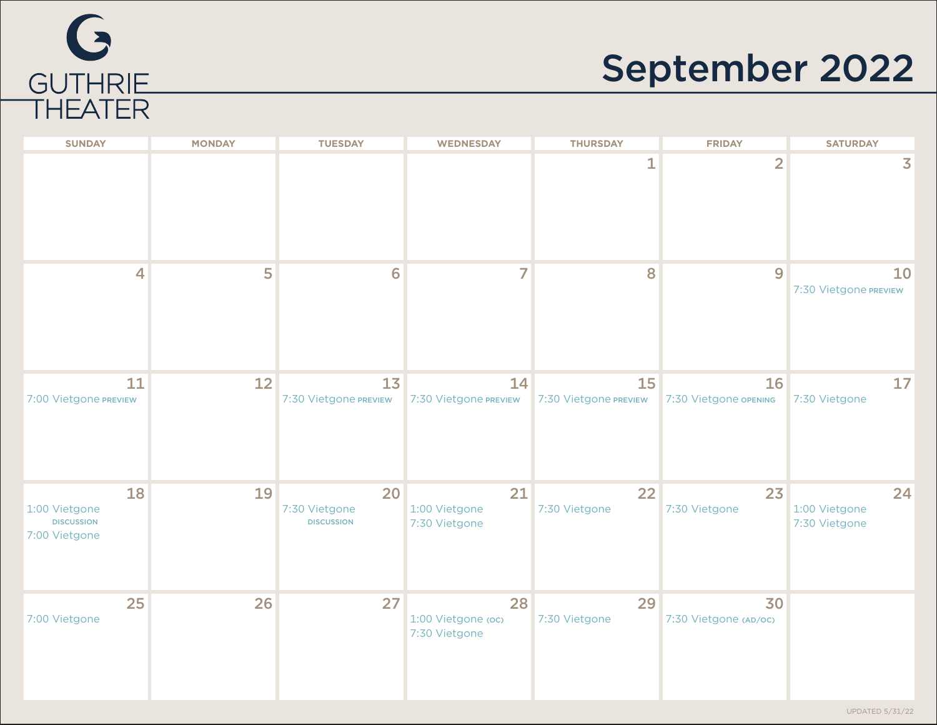

# September 2022

| <b>SUNDAY</b>                                             | <b>MONDAY</b> | <b>TUESDAY</b>                           | <b>WEDNESDAY</b>                          | <b>THURSDAY</b>             | <b>FRIDAY</b>               | <b>SATURDAY</b>                      |
|-----------------------------------------------------------|---------------|------------------------------------------|-------------------------------------------|-----------------------------|-----------------------------|--------------------------------------|
|                                                           |               |                                          |                                           | 1                           | $\overline{2}$              | $\overline{\mathbf{3}}$              |
| $\overline{4}$                                            | 5             | 6                                        | 7                                         | 8                           | 9                           | 10<br>7:30 Vietgone PREVIEW          |
| 11<br>7:00 Vietgone PREVIEW                               | 12            | 13<br>7:30 Vietgone PREVIEW              | 14<br>7:30 Vietgone PREVIEW               | 15<br>7:30 Vietgone PREVIEW | 16<br>7:30 Vietgone OPENING | 17<br>7:30 Vietgone                  |
| 18<br>1:00 Vietgone<br><b>DISCUSSION</b><br>7:00 Vietgone | 19            | 20<br>7:30 Vietgone<br><b>DISCUSSION</b> | 21<br>1:00 Vietgone<br>7:30 Vietgone      | 22<br>7:30 Vietgone         | 23<br>7:30 Vietgone         | 24<br>1:00 Vietgone<br>7:30 Vietgone |
| 25<br>7:00 Vietgone                                       | 26            | 27                                       | 28<br>1:00 Vietgone (oc)<br>7:30 Vietgone | 29<br>7:30 Vietgone         | 30<br>7:30 Vietgone (AD/OC) |                                      |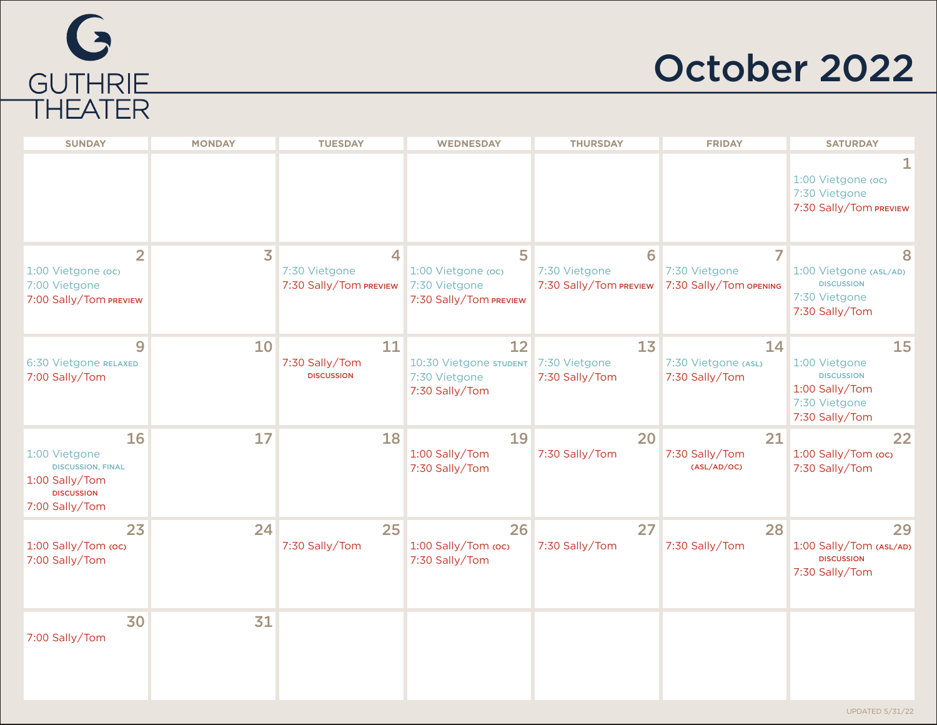

## October 2022

| <b>SUNDAY</b>                                                                                            | <b>MONDAY</b>           | <b>TUESDAY</b>                               | <b>WEDNESDAY</b>                                                   | <b>THURSDAY</b>                              | <b>FRIDAY</b>                                | <b>SATURDAY</b>                                                                               |
|----------------------------------------------------------------------------------------------------------|-------------------------|----------------------------------------------|--------------------------------------------------------------------|----------------------------------------------|----------------------------------------------|-----------------------------------------------------------------------------------------------|
|                                                                                                          |                         |                                              |                                                                    |                                              |                                              | 1:00 Vietgone (oc)<br>7:30 Vietgone<br>7:30 Sally/Tom PREVIEW                                 |
| $\overline{2}$<br>1:00 Vietgone (oc)<br>7:00 Vietgone<br>7:00 Sally/Tom PREVIEW                          | $\overline{\mathbf{3}}$ | 4<br>7:30 Vietgone<br>7:30 Sally/Tom PREVIEW | 5<br>1:00 Vietgone (oc)<br>7:30 Vietgone<br>7:30 Sally/Tom PREVIEW | 6<br>7:30 Vietgone<br>7:30 Sally/Tom PREVIEW | 7<br>7:30 Vietgone<br>7:30 Sally/Tom OPENING | 1:00 Vietgone (ASL/AD)<br><b>DISCUSSION</b><br>7:30 Vietgone<br>7:30 Sally/Tom                |
| 9<br>6:30 Vietgone RELAXED<br>7:00 Sally/Tom                                                             | 10                      | 11<br>7:30 Sally/Tom<br><b>DISCUSSION</b>    | 12<br>10:30 Vietgone STUDENT<br>7:30 Vietgone<br>7:30 Sally/Tom    | 13<br>7:30 Vietgone<br>7:30 Sally/Tom        | 14<br>7:30 Vietgone (ASL)<br>7:30 Sally/Tom  | 15<br>1:00 Vietgone<br><b>DISCUSSION</b><br>1:00 Sally/Tom<br>7:30 Vietgone<br>7:30 Sally/Tom |
| 16<br>1:00 Vietgone<br><b>DISCUSSION, FINAL</b><br>1:00 Sally/Tom<br><b>DISCUSSION</b><br>7:00 Sally/Tom | 17                      | 18                                           | 19<br>1:00 Sally/Tom<br>7:30 Sally/Tom                             | 20<br>7:30 Sally/Tom                         | 21<br>7:30 Sally/Tom<br>(ASL/AD/OC)          | 22<br>1:00 Sally/Tom (oc)<br>7:30 Sally/Tom                                                   |
| 23<br>1:00 Sally/Tom (oc)<br>7:00 Sally/Tom                                                              | 24                      | 25<br>7:30 Sally/Tom                         | 26<br>1:00 Sally/Tom (oc)<br>7:30 Sally/Tom                        | 27<br>7:30 Sally/Tom                         | 28<br>7:30 Sally/Tom                         | 29<br>1:00 Sally/Tom (ASL/AD)<br><b>DISCUSSION</b><br>7:30 Sally/Tom                          |
| 30<br>7:00 Sally/Tom                                                                                     | 31                      |                                              |                                                                    |                                              |                                              |                                                                                               |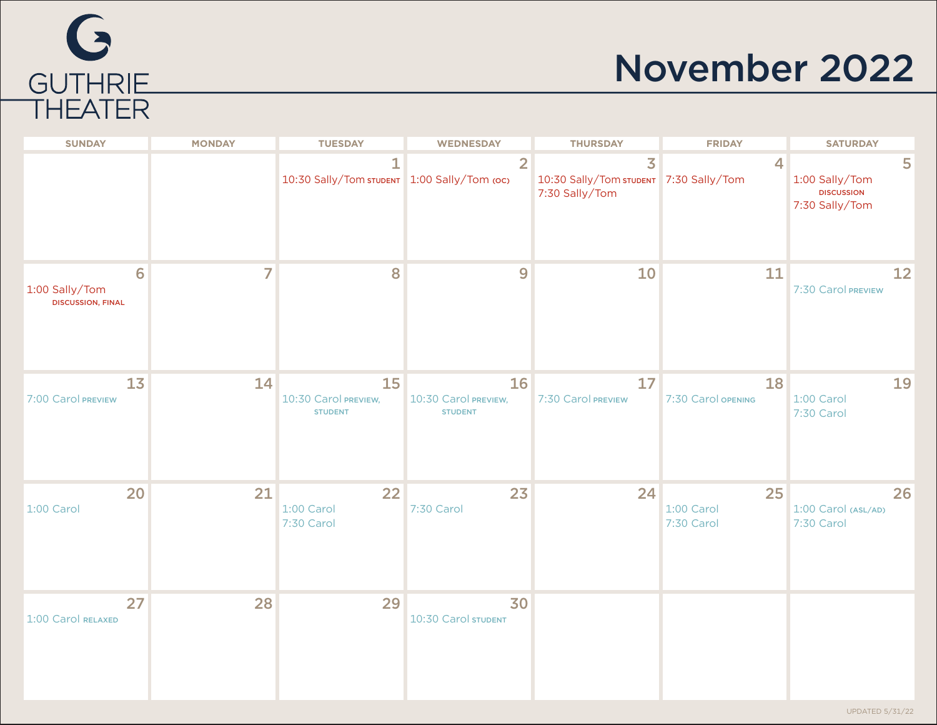# G GUTHRIE<br>THEATER

# November 2022

| <b>SUNDAY</b>                                   | <b>MONDAY</b> | <b>TUESDAY</b>                                              | <b>WEDNESDAY</b>                             | <b>THURSDAY</b>                                                            | <b>FRIDAY</b>                  | <b>SATURDAY</b>                                            |
|-------------------------------------------------|---------------|-------------------------------------------------------------|----------------------------------------------|----------------------------------------------------------------------------|--------------------------------|------------------------------------------------------------|
|                                                 |               | $\mathbf{1}$<br>10:30 Sally/Tom STUDENT 1:00 Sally/Tom (oc) | $\overline{2}$                               | $\overline{3}$<br>10:30 Sally/Tom STUDENT 7:30 Sally/Tom<br>7:30 Sally/Tom | 4                              | 5<br>1:00 Sally/Tom<br><b>DISCUSSION</b><br>7:30 Sally/Tom |
| 6<br>1:00 Sally/Tom<br><b>DISCUSSION, FINAL</b> | 7             | 8                                                           | 9                                            | 10                                                                         | 11                             | 12<br>7:30 Carol PREVIEW                                   |
| 13<br>7:00 Carol PREVIEW                        | 14            | 15<br>10:30 Carol PREVIEW,<br><b>STUDENT</b>                | 16<br>10:30 Carol PREVIEW,<br><b>STUDENT</b> | 17<br>7:30 Carol PREVIEW                                                   | 18<br>7:30 Carol OPENING       | 19<br>1:00 Carol<br>7:30 Carol                             |
| 20<br>1:00 Carol                                | 21            | 22<br>1:00 Carol<br>7:30 Carol                              | 23<br>7:30 Carol                             | 24                                                                         | 25<br>1:00 Carol<br>7:30 Carol | 26<br>1:00 Carol (ASL/AD)<br>7:30 Carol                    |
| 27<br>1:00 Carol RELAXED                        | 28            | 29                                                          | 30<br>10:30 Carol STUDENT                    |                                                                            |                                |                                                            |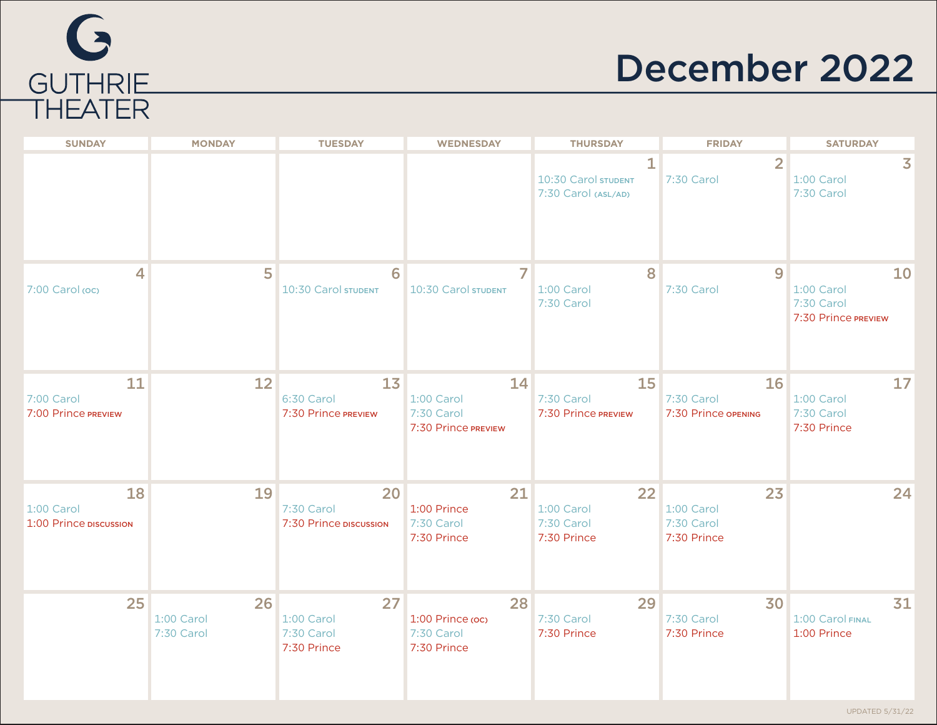

# December 2022

| <b>SUNDAY</b>                                     | <b>MONDAY</b>                  | <b>TUESDAY</b>                                | <b>WEDNESDAY</b>                                      | <b>THURSDAY</b>                                            | <b>FRIDAY</b>                                 | <b>SATURDAY</b>                                       |
|---------------------------------------------------|--------------------------------|-----------------------------------------------|-------------------------------------------------------|------------------------------------------------------------|-----------------------------------------------|-------------------------------------------------------|
|                                                   |                                |                                               |                                                       | $\mathbf{1}$<br>10:30 Carol STUDENT<br>7:30 Carol (ASL/AD) | $\overline{2}$<br>7:30 Carol                  | 3<br>1:00 Carol<br>7:30 Carol                         |
| 4<br>7:00 Carol (oc)                              | 5                              | 6<br>10:30 Carol STUDENT                      | 10:30 Carol STUDENT                                   | 8<br>1:00 Carol<br>7:30 Carol                              | 9<br>7:30 Carol                               | 10<br>1:00 Carol<br>7:30 Carol<br>7:30 Prince PREVIEW |
| 11<br>7:00 Carol<br>7:00 Prince PREVIEW           | 12                             | 13<br>6:30 Carol<br>7:30 Prince PREVIEW       | 14<br>1:00 Carol<br>7:30 Carol<br>7:30 Prince PREVIEW | 15<br>7:30 Carol<br>7:30 Prince PREVIEW                    | 16<br>7:30 Carol<br>7:30 Prince OPENING       | 17<br>1:00 Carol<br>7:30 Carol<br>7:30 Prince         |
| <b>18</b><br>1:00 Carol<br>1:00 Prince DISCUSSION | 19                             | 20<br>7:30 Carol<br>7:30 Prince DISCUSSION    | 21<br>1:00 Prince<br>7:30 Carol<br>7:30 Prince        | 22<br>1:00 Carol<br>7:30 Carol<br>7:30 Prince              | 23<br>1:00 Carol<br>7:30 Carol<br>7:30 Prince | 24                                                    |
| 25                                                | 26<br>1:00 Carol<br>7:30 Carol | 27<br>1:00 Carol<br>7:30 Carol<br>7:30 Prince | 28<br>1:00 Prince (oc)<br>7:30 Carol<br>7:30 Prince   | 29<br>7:30 Carol<br>7:30 Prince                            | 30<br>7:30 Carol<br>7:30 Prince               | 31<br>1:00 Carol FINAL<br>1:00 Prince                 |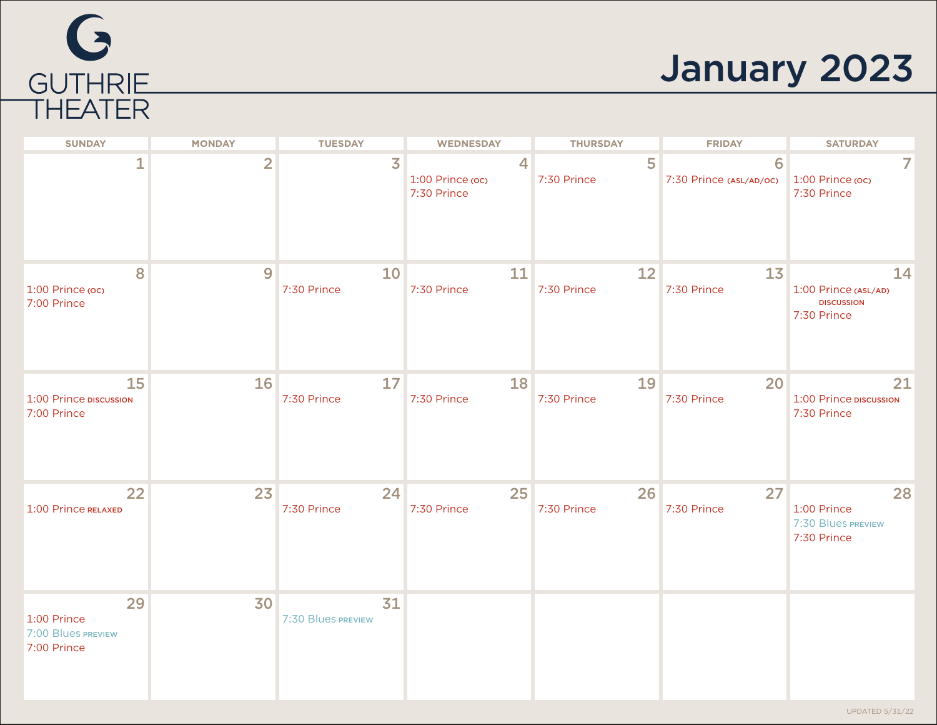# G GUTHRIE<br>THEATER

# January 2023

| <b>SUNDAY</b>                                          | <b>MONDAY</b>  | <b>TUESDAY</b>           | <b>WEDNESDAY</b>                     | <b>THURSDAY</b>   | <b>FRIDAY</b>                | <b>SATURDAY</b>                                                |
|--------------------------------------------------------|----------------|--------------------------|--------------------------------------|-------------------|------------------------------|----------------------------------------------------------------|
| 1                                                      | $\overline{2}$ | $\overline{\mathbf{3}}$  | 4<br>1:00 Prince (oc)<br>7:30 Prince | 5<br>7:30 Prince  | 6<br>7:30 Prince (ASL/AD/OC) | 1:00 Prince (oc)<br>7:30 Prince                                |
| 8<br>1:00 Prince (oc)<br>7:00 Prince                   | 9              | 10<br>7:30 Prince        | 11<br>7:30 Prince                    | 12<br>7:30 Prince | 13<br>7:30 Prince            | 14<br>1:00 Prince (ASL/AD)<br><b>DISCUSSION</b><br>7:30 Prince |
| 15<br>1:00 Prince DISCUSSION<br>7:00 Prince            | 16             | 17<br>7:30 Prince        | <b>18</b><br>7:30 Prince             | 19<br>7:30 Prince | 20<br>7:30 Prince            | 21<br>1:00 Prince DISCUSSION<br>7:30 Prince                    |
| 22<br>1:00 Prince RELAXED                              | 23             | 24<br>7:30 Prince        | 25<br>7:30 Prince                    | 26<br>7:30 Prince | 27<br>7:30 Prince            | 28<br>1:00 Prince<br>7:30 Blues PREVIEW<br>7:30 Prince         |
| 29<br>1:00 Prince<br>7:00 Blues PREVIEW<br>7:00 Prince | 30             | 31<br>7:30 Blues PREVIEW |                                      |                   |                              |                                                                |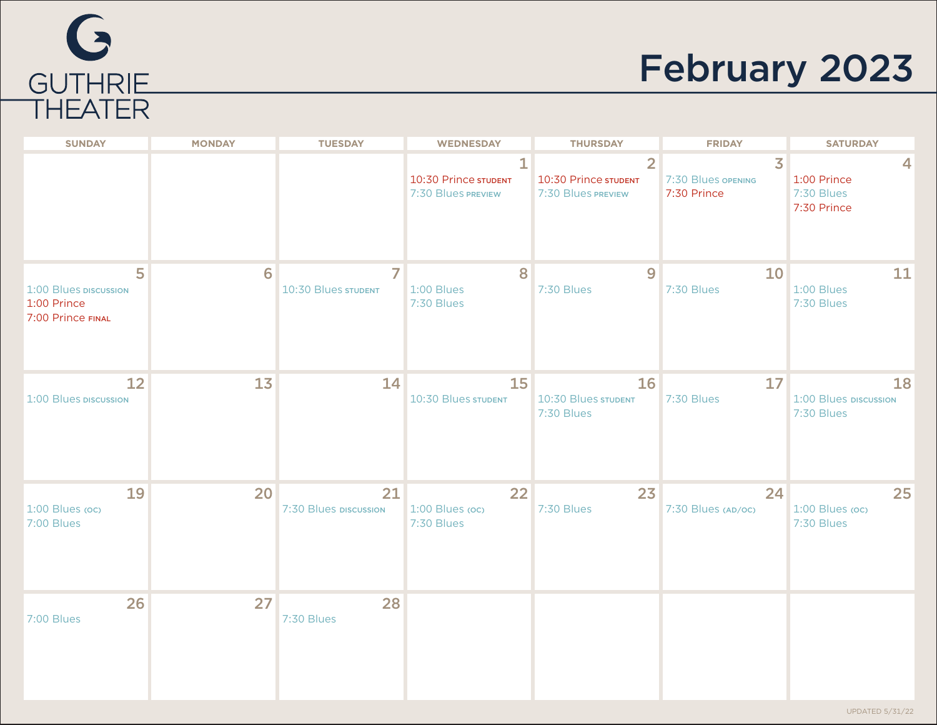

# February 2023

| <b>SUNDAY</b>                                                  | <b>MONDAY</b> | <b>TUESDAY</b>              | <b>WEDNESDAY</b>                                | <b>THURSDAY</b>                                              | <b>FRIDAY</b>                                       | <b>SATURDAY</b>                               |
|----------------------------------------------------------------|---------------|-----------------------------|-------------------------------------------------|--------------------------------------------------------------|-----------------------------------------------------|-----------------------------------------------|
|                                                                |               |                             | 1<br>10:30 Prince STUDENT<br>7:30 Blues PREVIEW | $\overline{2}$<br>10:30 Prince STUDENT<br>7:30 Blues PREVIEW | $\overline{3}$<br>7:30 Blues opening<br>7:30 Prince | 4<br>1:00 Prince<br>7:30 Blues<br>7:30 Prince |
| 5<br>1:00 Blues DISCUSSION<br>1:00 Prince<br>7:00 Prince FINAL | 6             | 7<br>10:30 Blues STUDENT    | 8<br>1:00 Blues<br>7:30 Blues                   | 9<br>7:30 Blues                                              | 10<br>7:30 Blues                                    | 11<br>1:00 Blues<br>7:30 Blues                |
| 12<br>1:00 Blues DISCUSSION                                    | 13            | 14                          | 15<br>10:30 Blues STUDENT                       | 16<br>10:30 Blues STUDENT<br>7:30 Blues                      | 17<br>7:30 Blues                                    | 18<br>1:00 Blues DISCUSSION<br>7:30 Blues     |
| 19<br>1:00 Blues (oc)<br>7:00 Blues                            | 20            | 21<br>7:30 Blues DISCUSSION | 22<br>1:00 Blues (oc)<br>7:30 Blues             | 23<br>7:30 Blues                                             | 24<br>7:30 Blues (AD/OC)                            | 25<br>1:00 Blues (oc)<br>7:30 Blues           |
| 26<br>7:00 Blues                                               | 27            | 28<br>7:30 Blues            |                                                 |                                                              |                                                     |                                               |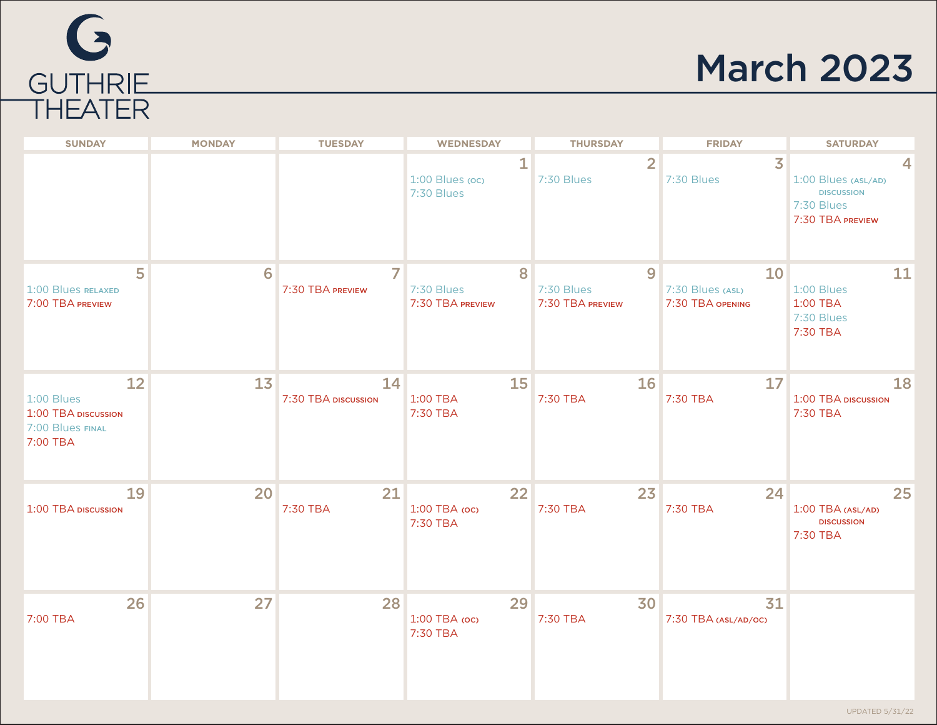

## March 2023

| <b>SUNDAY</b>                                                             | <b>MONDAY</b>  | <b>TUESDAY</b>            | <b>WEDNESDAY</b>                    | <b>THURSDAY</b>                     | <b>FRIDAY</b>                              | <b>SATURDAY</b>                                                            |
|---------------------------------------------------------------------------|----------------|---------------------------|-------------------------------------|-------------------------------------|--------------------------------------------|----------------------------------------------------------------------------|
|                                                                           |                |                           | 1<br>1:00 Blues (oc)<br>7:30 Blues  | $\overline{2}$<br>7:30 Blues        | $\overline{3}$<br>7:30 Blues               | 1:00 Blues (ASL/AD)<br><b>DISCUSSION</b><br>7:30 Blues<br>7:30 TBA PREVIEW |
| 5<br>1:00 Blues RELAXED<br>7:00 TBA PREVIEW                               | 6              | 7<br>7:30 TBA PREVIEW     | 8<br>7:30 Blues<br>7:30 TBA PREVIEW | 9<br>7:30 Blues<br>7:30 TBA PREVIEW | 10<br>7:30 Blues (ASL)<br>7:30 TBA OPENING | 11<br>1:00 Blues<br>1:00 TBA<br>7:30 Blues<br>7:30 TBA                     |
| 12<br>$1:00$ Blues<br>1:00 TBA DISCUSSION<br>7:00 Blues FINAL<br>7:00 TBA | 1 <sub>3</sub> | 14<br>7:30 TBA DISCUSSION | 15<br>1:00 TBA<br>7:30 TBA          | 16<br>7:30 TBA                      | 17<br>7:30 TBA                             | 18<br>1:00 TBA DISCUSSION<br>7:30 TBA                                      |
| 19<br>1:00 TBA DISCUSSION                                                 | 20             | 21<br>7:30 TBA            | 22<br>1:00 TBA (oc)<br>7:30 TBA     | 23<br>7:30 TBA                      | 24<br>7:30 TBA                             | 25<br>1:00 TBA (ASL/AD)<br><b>DISCUSSION</b><br>7:30 TBA                   |
| 26<br>7:00 TBA                                                            | 27             | 28                        | 29<br>1:00 TBA (oc)<br>7:30 TBA     | 30<br>7:30 TBA                      | 31<br>7:30 TBA (ASL/AD/OC)                 |                                                                            |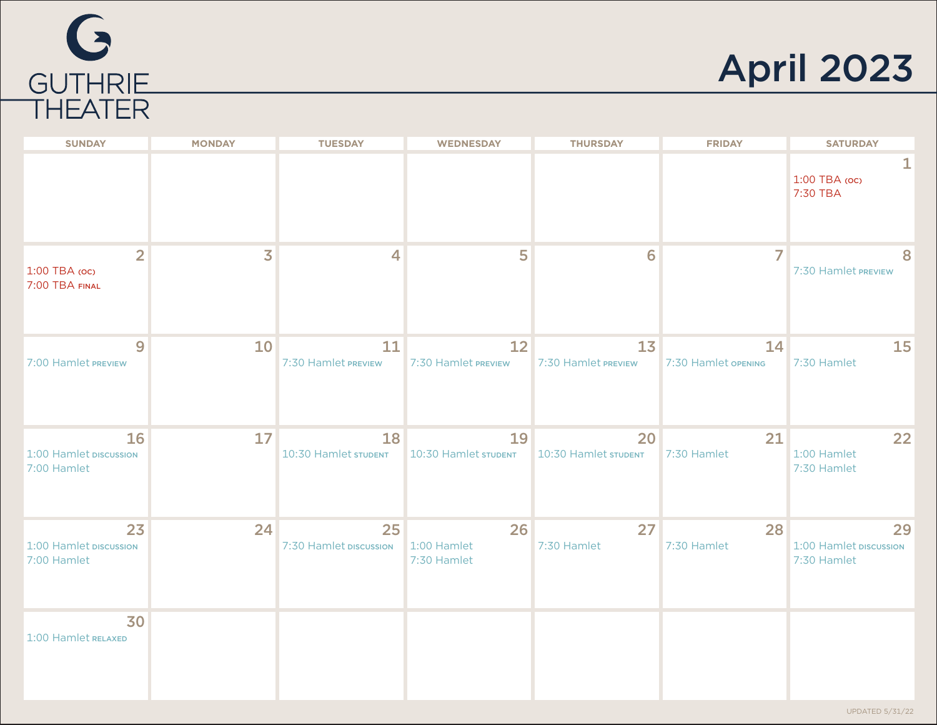



| <b>SUNDAY</b>                                     | <b>MONDAY</b> | <b>TUESDAY</b>                                  | <b>WEDNESDAY</b>          | <b>THURSDAY</b>                       | <b>FRIDAY</b>             | <b>SATURDAY</b>                             |
|---------------------------------------------------|---------------|-------------------------------------------------|---------------------------|---------------------------------------|---------------------------|---------------------------------------------|
|                                                   |               |                                                 |                           |                                       |                           | 1:00 TBA (oc)<br>7:30 TBA                   |
| $\overline{2}$<br>1:00 TBA (OC)<br>7:00 TBA FINAL | 3             | $\overline{4}$                                  | 5                         | 6                                     | $\overline{7}$            | 7:30 Hamlet PREVIEW                         |
| 9<br>7:00 Hamlet PREVIEW                          | 10            | 11<br>7:30 Hamlet PREVIEW                       | 12<br>7:30 Hamlet PREVIEW | 1 <sub>3</sub><br>7:30 Hamlet PREVIEW | 14<br>7:30 Hamlet OPENING | 15<br>7:30 Hamlet                           |
| 16<br>1:00 Hamlet DISCUSSION<br>7:00 Hamlet       | 17            | 18<br>10:30 Hamlet STUDENT 10:30 Hamlet STUDENT | 19                        | 20<br>10:30 Hamlet STUDENT            | 21<br>7:30 Hamlet         | 22<br>1:00 Hamlet<br>7:30 Hamlet            |
| 23<br>1:00 Hamlet DISCUSSION<br>7:00 Hamlet       | 24            | 25<br>7:30 Hamlet DISCUSSION 1:00 Hamlet        | 26<br>7:30 Hamlet         | 27<br>7:30 Hamlet                     | 28<br>7:30 Hamlet         | 29<br>1:00 Hamlet DISCUSSION<br>7:30 Hamlet |
| 30<br>1:00 Hamlet RELAXED                         |               |                                                 |                           |                                       |                           |                                             |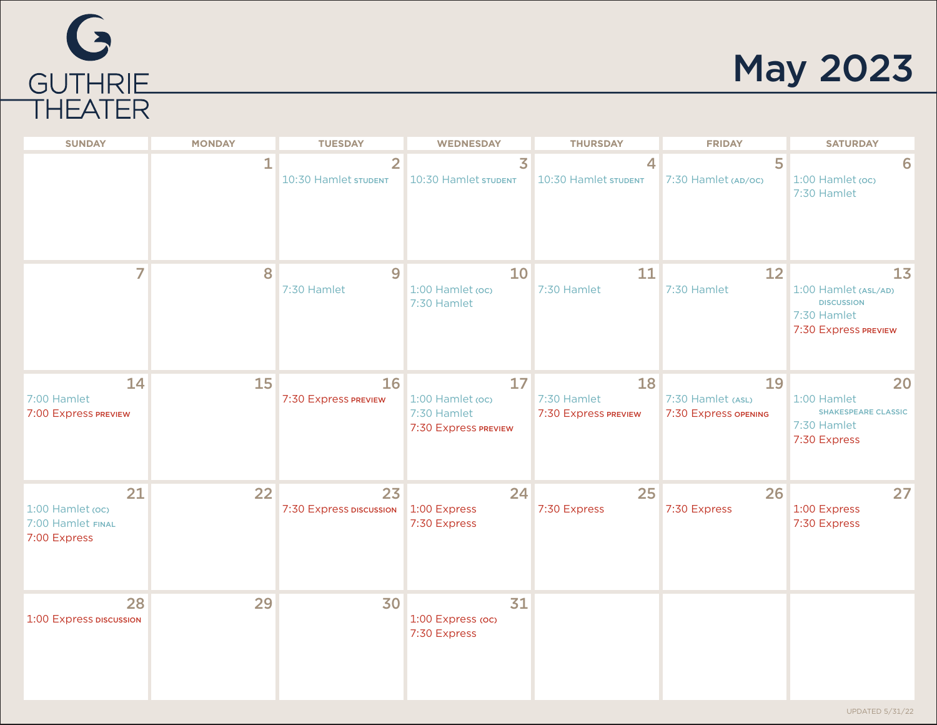# G GUTHRIE

## May 2023

| <b>SUNDAY</b>                                               | <b>MONDAY</b> | <b>TUESDAY</b>                         | <b>WEDNESDAY</b>                                              | <b>THURSDAY</b>                           | <b>FRIDAY</b>                                   | <b>SATURDAY</b>                                                                        |
|-------------------------------------------------------------|---------------|----------------------------------------|---------------------------------------------------------------|-------------------------------------------|-------------------------------------------------|----------------------------------------------------------------------------------------|
|                                                             | $\mathbf 1$   | $\overline{2}$<br>10:30 Hamlet STUDENT | $\overline{\mathbf{3}}$<br>10:30 Hamlet STUDENT               | 4<br>10:30 Hamlet STUDENT                 | 5<br>7:30 Hamlet (AD/OC)                        | 6<br>1:00 Hamlet (oc)<br>7:30 Hamlet                                                   |
| 7                                                           | 8             | $\overline{9}$<br>7:30 Hamlet          | 10<br>1:00 Hamlet (oc)<br>7:30 Hamlet                         | 11<br>7:30 Hamlet                         | 12<br>7:30 Hamlet                               | 13<br>1:00 Hamlet (ASL/AD)<br><b>DISCUSSION</b><br>7:30 Hamlet<br>7:30 Express PREVIEW |
| 14<br>7:00 Hamlet<br>7:00 Express PREVIEW                   | 15            | 16<br>7:30 Express PREVIEW             | 17<br>1:00 Hamlet (oc)<br>7:30 Hamlet<br>7:30 Express PREVIEW | 18<br>7:30 Hamlet<br>7:30 Express PREVIEW | 19<br>7:30 Hamlet (ASL)<br>7:30 Express opening | 20<br>1:00 Hamlet<br><b>SHAKESPEARE CLASSIC</b><br>7:30 Hamlet<br>7:30 Express         |
| 21<br>1:00 Hamlet (oc)<br>7:00 Hamlet FINAL<br>7:00 Express | 22            | 23<br>7:30 Express DISCUSSION          | 24<br>1:00 Express<br>7:30 Express                            | 25<br>7:30 Express                        | 26<br>7:30 Express                              | 27<br>1:00 Express<br>7:30 Express                                                     |
| 28<br>1:00 Express DISCUSSION                               | 29            | 30                                     | 31<br>1:00 Express (oc)<br>7:30 Express                       |                                           |                                                 |                                                                                        |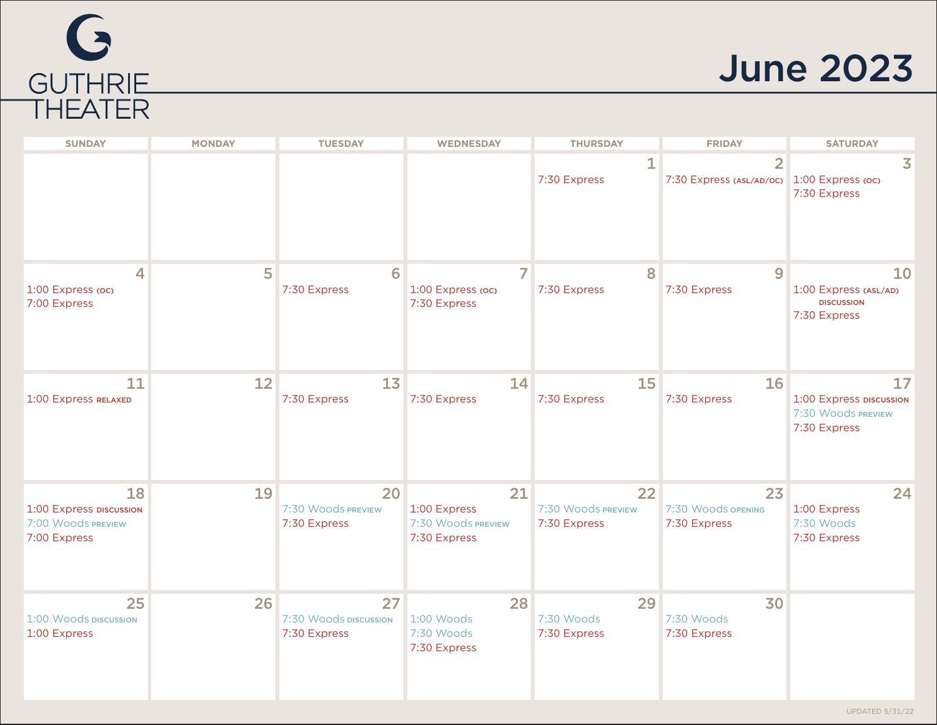

### June 2023

| <b>SUNDAY</b>                                                       | <b>MONDAY</b> | <b>TUESDAY</b>                              | <b>WEDNESDAY</b>                                         | <b>THURSDAY</b>                          | <b>FRIDAY</b>                                                | <b>SATURDAY</b>                                                     |
|---------------------------------------------------------------------|---------------|---------------------------------------------|----------------------------------------------------------|------------------------------------------|--------------------------------------------------------------|---------------------------------------------------------------------|
|                                                                     |               |                                             |                                                          | 1<br>7:30 Express                        | $\overline{2}$<br>7:30 Express (ASL/AD/OC) 1:00 Express (OC) | 3<br>7:30 Express                                                   |
| 4<br>1:00 Express (oc)<br>7:00 Express                              | 5             | 6<br>7:30 Express                           | $\overline{ }$<br>1:00 Express (oc)<br>7:30 Express      | 8<br>7:30 Express                        | $\overline{9}$<br>7:30 Express                               | 10<br>1:00 Express (ASL/AD)<br><b>DISCUSSION</b><br>7:30 Express    |
| 11<br>1:00 Express RELAXED                                          | 12            | 13<br>7:30 Express                          | 14<br>7:30 Express                                       | 15<br>7:30 Express                       | 16<br>7:30 Express                                           | 17<br>1:00 Express DISCUSSION<br>7:30 Woods PREVIEW<br>7:30 Express |
| 18<br>1:00 Express piscussion<br>7:00 Woods PREVIEW<br>7:00 Express | 19            | 20<br>7:30 Woods PREVIEW<br>7:30 Express    | 21<br>1:00 Express<br>7:30 Woods PREVIEW<br>7:30 Express | 22<br>7:30 Woods PREVIEW<br>7:30 Express | 23<br>7:30 Woods opening<br>7:30 Express                     | 24<br>1:00 Express<br>7:30 Woods<br>7:30 Express                    |
| 25<br>1:00 Woods DISCUSSION<br>1:00 Express                         | 26            | 27<br>7:30 Woods DISCUSSION<br>7:30 Express | 28<br>1:00 Woods<br>7:30 Woods<br>7:30 Express           | 29<br>7:30 Woods<br>7:30 Express         | 30<br>7:30 Woods<br>7:30 Express                             |                                                                     |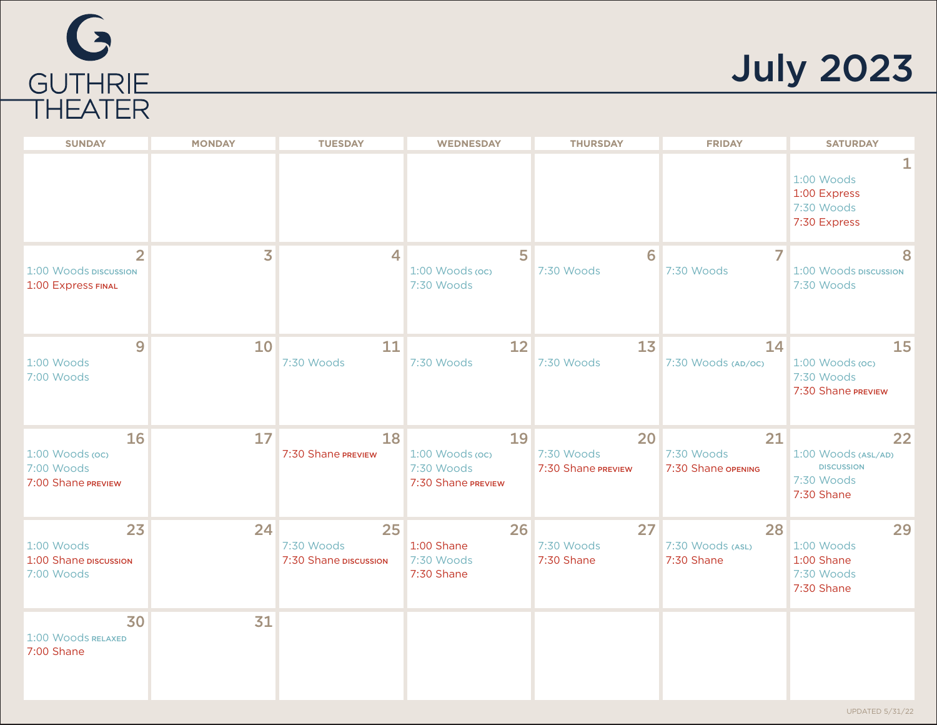

July 2023

| <b>SUNDAY</b>                                                 | <b>MONDAY</b> | <b>TUESDAY</b>                            | <b>WEDNESDAY</b>                                          | <b>THURSDAY</b>                        | <b>FRIDAY</b>                          | <b>SATURDAY</b>                                                            |
|---------------------------------------------------------------|---------------|-------------------------------------------|-----------------------------------------------------------|----------------------------------------|----------------------------------------|----------------------------------------------------------------------------|
|                                                               |               |                                           |                                                           |                                        |                                        | 1:00 Woods<br>1:00 Express<br>7:30 Woods<br>7:30 Express                   |
| $\overline{2}$<br>1:00 Woods piscussion<br>1:00 Express FINAL | 3             | 4                                         | 5<br>$1:00$ Woods (oc)<br>7:30 Woods                      | 6<br>7:30 Woods                        | 7<br>7:30 Woods                        | 8<br>1:00 Woods DISCUSSION<br>7:30 Woods                                   |
| 9<br>1:00 Woods<br>7:00 Woods                                 | 10            | 11<br>7:30 Woods                          | 12<br>7:30 Woods                                          | 13<br>7:30 Woods                       | 14<br>7:30 Woods (AD/OC)               | <b>15</b><br>1:00 Woods (oc)<br>7:30 Woods<br>7:30 Shane PREVIEW           |
| 16<br>1:00 Woods (oc)<br>7:00 Woods<br>7:00 Shane PREVIEW     | 17            | 18<br>7:30 Shane PREVIEW                  | 19<br>1:00 Woods (oc)<br>7:30 Woods<br>7:30 Shane PREVIEW | 20<br>7:30 Woods<br>7:30 Shane PREVIEW | 21<br>7:30 Woods<br>7:30 Shane opening | 22<br>1:00 Woods (ASL/AD)<br><b>DISCUSSION</b><br>7:30 Woods<br>7:30 Shane |
| 23<br>1:00 Woods<br>1:00 Shane piscussion<br>7:00 Woods       | 24            | 25<br>7:30 Woods<br>7:30 Shane piscussion | 26<br>1:00 Shane<br>7:30 Woods<br>7:30 Shane              | 27<br>7:30 Woods<br>7:30 Shane         | 28<br>7:30 Woods (ASL)<br>7:30 Shane   | 29<br>1:00 Woods<br>1:00 Shane<br>7:30 Woods<br>7:30 Shane                 |
| 30<br>1:00 Woods RELAXED<br>7:00 Shane                        | 31            |                                           |                                                           |                                        |                                        |                                                                            |